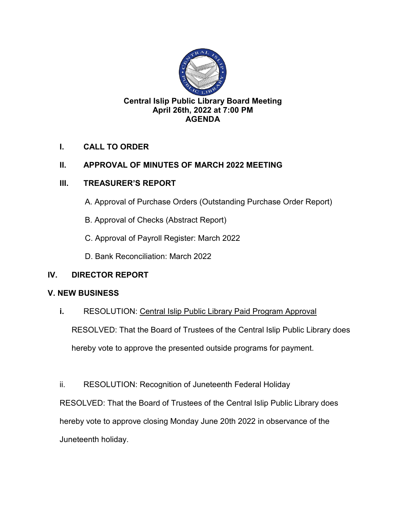

# **I. CALL TO ORDER**

# **II. APPROVAL OF MINUTES OF MARCH 2022 MEETING**

# **III. TREASURER'S REPORT**

- A. Approval of Purchase Orders (Outstanding Purchase Order Report)
- B. Approval of Checks (Abstract Report)
- C. Approval of Payroll Register: March 2022
- D. Bank Reconciliation: March 2022

# **IV. DIRECTOR REPORT**

### **V. NEW BUSINESS**

**i.** RESOLUTION: Central Islip Public Library Paid Program Approval

RESOLVED: That the Board of Trustees of the Central Islip Public Library does

hereby vote to approve the presented outside programs for payment.

ii. RESOLUTION: Recognition of Juneteenth Federal Holiday

RESOLVED: That the Board of Trustees of the Central Islip Public Library does hereby vote to approve closing Monday June 20th 2022 in observance of the Juneteenth holiday.